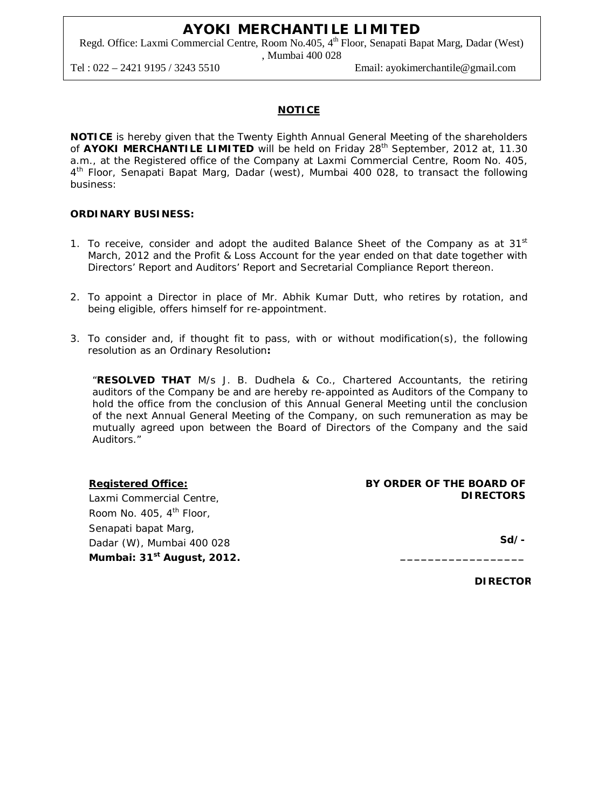Regd. Office: Laxmi Commercial Centre, Room No.405, 4<sup>th</sup> Floor, Senapati Bapat Marg, Dadar (West) , Mumbai 400 028

Tel : 022 – 2421 9195 / 3243 5510 Email: ayokimerchantile@gmail.com

# **NOTICE**

**NOTICE** is hereby given that the Twenty Eighth Annual General Meeting of the shareholders of AYOKI MERCHANTILE LIMITED will be held on Friday 28<sup>th</sup> September, 2012 at, 11.30 a.m., at the Registered office of the Company at Laxmi Commercial Centre, Room No. 405, 4<sup>th</sup> Floor, Senapati Bapat Marg, Dadar (west), Mumbai 400 028, to transact the following business:

# **ORDINARY BUSINESS:**

- 1. To receive, consider and adopt the audited Balance Sheet of the Company as at  $31<sup>st</sup>$ March, 2012 and the Profit & Loss Account for the year ended on that date together with Directors' Report and Auditors' Report and Secretarial Compliance Report thereon.
- 2. To appoint a Director in place of Mr. Abhik Kumar Dutt, who retires by rotation, and being eligible, offers himself for re-appointment.
- 3. To consider and, if thought fit to pass, with or without modification(s), the following resolution as an Ordinary Resolution**:**

"**RESOLVED THAT** M/s J. B. Dudhela & Co., Chartered Accountants, the retiring auditors of the Company be and are hereby re-appointed as Auditors of the Company to hold the office from the conclusion of this Annual General Meeting until the conclusion of the next Annual General Meeting of the Company, on such remuneration as may be mutually agreed upon between the Board of Directors of the Company and the said Auditors."

# **Registered Office:**

Laxmi Commercial Centre, Room No.  $405, 4^{\text{th}}$  Floor, Senapati bapat Marg, Dadar (W), Mumbai 400 028 **Mumbai: 31 st August, 2012.**

#### **BY ORDER OF THE BOARD OF DIRECTORS**

**\_\_\_\_\_\_\_\_\_\_\_\_\_\_\_\_\_\_**

**Sd/-** 

**DIRECTOR**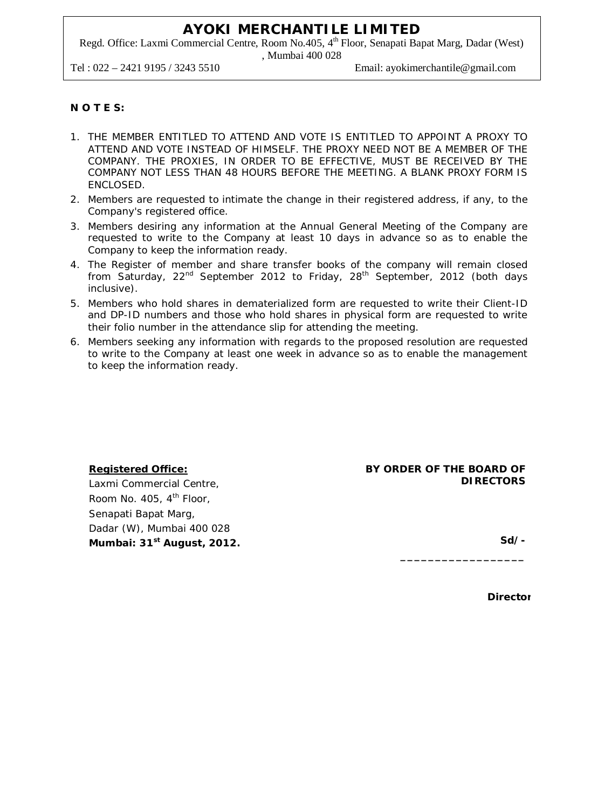Regd. Office: Laxmi Commercial Centre, Room No.405, 4<sup>th</sup> Floor, Senapati Bapat Marg, Dadar (West) , Mumbai 400 028

Tel : 022 – 2421 9195 / 3243 5510 Email: ayokimerchantile@gmail.com

# **N O T E S:**

- 1. THE MEMBER ENTITLED TO ATTEND AND VOTE IS ENTITLED TO APPOINT A PROXY TO ATTEND AND VOTE INSTEAD OF HIMSELF. THE PROXY NEED NOT BE A MEMBER OF THE COMPANY. THE PROXIES, IN ORDER TO BE EFFECTIVE, MUST BE RECEIVED BY THE COMPANY NOT LESS THAN 48 HOURS BEFORE THE MEETING. A BLANK PROXY FORM IS ENCLOSED.
- 2. Members are requested to intimate the change in their registered address, if any, to the Company's registered office.
- 3. Members desiring any information at the Annual General Meeting of the Company are requested to write to the Company at least 10 days in advance so as to enable the Company to keep the information ready.
- 4. The Register of member and share transfer books of the company will remain closed from Saturday, 22<sup>nd</sup> September 2012 to Friday, 28<sup>th</sup> September, 2012 (both days inclusive).
- 5. Members who hold shares in dematerialized form are requested to write their Client-ID and DP-ID numbers and those who hold shares in physical form are requested to write their folio number in the attendance slip for attending the meeting.
- 6. Members seeking any information with regards to the proposed resolution are requested to write to the Company at least one week in advance so as to enable the management to keep the information ready.

# **Registered Office:** Laxmi Commercial Centre,

Room No. 405,  $4<sup>th</sup>$  Floor, Senapati Bapat Marg, Dadar (W), Mumbai 400 028 **Mumbai: 31 st August, 2012.**

# **BY ORDER OF THE BOARD OF DIRECTORS**

**\_\_\_\_\_\_\_\_\_\_\_\_\_\_\_\_\_\_**

**Sd/-**

**Director**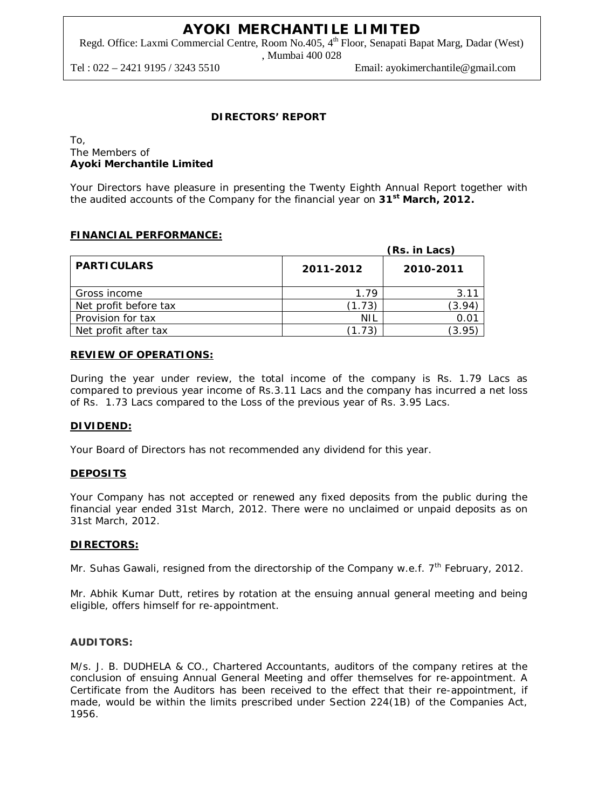Regd. Office: Laxmi Commercial Centre, Room No.405, 4<sup>th</sup> Floor, Senapati Bapat Marg, Dadar (West) , Mumbai 400 028

Tel : 022 – 2421 9195 / 3243 5510 Email: ayokimerchantile@gmail.com

# **DIRECTORS' REPORT**

#### To, The Members of **Ayoki Merchantile Limited**

Your Directors have pleasure in presenting the Twenty Eighth Annual Report together with the audited accounts of the Company for the financial year on **31st March, 2012.**

# **FINANCIAL PERFORMANCE:**

|                       |           | (Rs. in Lacs) |
|-----------------------|-----------|---------------|
| <b>PARTICULARS</b>    | 2011-2012 | 2010-2011     |
| Gross income          | 1 79      | 3.11          |
| Net profit before tax | (1.73)    | 3.94          |
| Provision for tax     | NIL       |               |
| Net profit after tax  |           | 3.95          |

# **REVIEW OF OPERATIONS:**

During the year under review, the total income of the company is Rs. 1.79 Lacs as compared to previous year income of Rs.3.11 Lacs and the company has incurred a net loss of Rs. 1.73 Lacs compared to the Loss of the previous year of Rs. 3.95 Lacs.

# **DIVIDEND:**

Your Board of Directors has not recommended any dividend for this year.

# **DEPOSITS**

Your Company has not accepted or renewed any fixed deposits from the public during the financial year ended 31st March, 2012. There were no unclaimed or unpaid deposits as on 31st March, 2012.

# **DIRECTORS:**

Mr. Suhas Gawali, resigned from the directorship of the Company w.e.f. 7<sup>th</sup> February, 2012.

Mr. Abhik Kumar Dutt, retires by rotation at the ensuing annual general meeting and being eligible, offers himself for re-appointment.

# **AUDITORS:**

M/s. J. B. DUDHELA & CO., Chartered Accountants, auditors of the company retires at the conclusion of ensuing Annual General Meeting and offer themselves for re-appointment. A Certificate from the Auditors has been received to the effect that their re-appointment, if made, would be within the limits prescribed under Section 224(1B) of the Companies Act, 1956.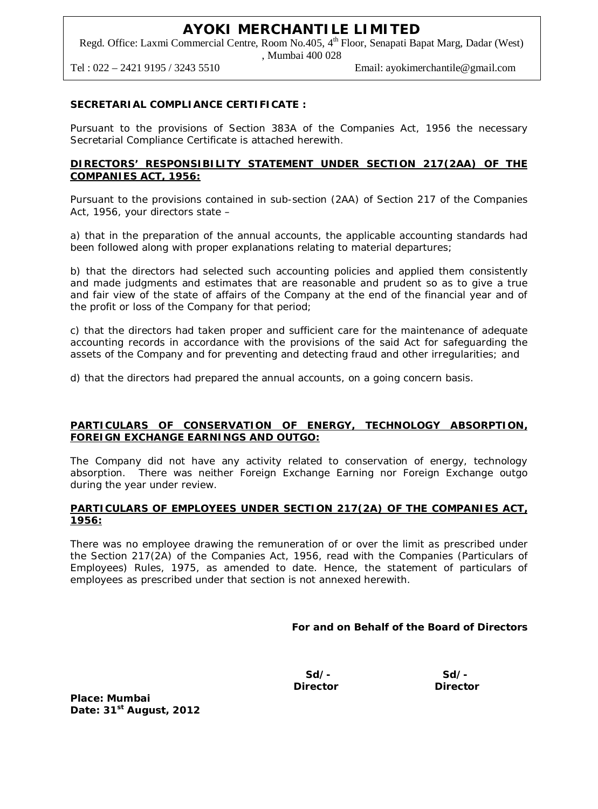Regd. Office: Laxmi Commercial Centre, Room No.405, 4<sup>th</sup> Floor, Senapati Bapat Marg, Dadar (West) , Mumbai 400 028

Tel : 022 – 2421 9195 / 3243 5510 Email: ayokimerchantile@gmail.com

# **SECRETARIAL COMPLIANCE CERTIFICATE :**

Pursuant to the provisions of Section 383A of the Companies Act, 1956 the necessary Secretarial Compliance Certificate is attached herewith.

# **DIRECTORS' RESPONSIBILITY STATEMENT UNDER SECTION 217(2AA) OF THE COMPANIES ACT, 1956:**

Pursuant to the provisions contained in sub-section (2AA) of Section 217 of the Companies Act, 1956, your directors state –

a) that in the preparation of the annual accounts, the applicable accounting standards had been followed along with proper explanations relating to material departures;

b) that the directors had selected such accounting policies and applied them consistently and made judgments and estimates that are reasonable and prudent so as to give a true and fair view of the state of affairs of the Company at the end of the financial year and of the profit or loss of the Company for that period;

c) that the directors had taken proper and sufficient care for the maintenance of adequate accounting records in accordance with the provisions of the said Act for safeguarding the assets of the Company and for preventing and detecting fraud and other irregularities; and

d) that the directors had prepared the annual accounts, on a going concern basis.

# **PARTICULARS OF CONSERVATION OF ENERGY, TECHNOLOGY ABSORPTION, FOREIGN EXCHANGE EARNINGS AND OUTGO:**

The Company did not have any activity related to conservation of energy, technology absorption. There was neither Foreign Exchange Earning nor Foreign Exchange outgo during the year under review.

# **PARTICULARS OF EMPLOYEES UNDER SECTION 217(2A) OF THE COMPANIES ACT, 1956:**

There was no employee drawing the remuneration of or over the limit as prescribed under the Section 217(2A) of the Companies Act, 1956, read with the Companies (Particulars of Employees) Rules, 1975, as amended to date. Hence, the statement of particulars of employees as prescribed under that section is not annexed herewith.

**For and on Behalf of the Board of Directors**

 **Sd/- Sd/- Director Director** 

**Place: Mumbai Date: 31 st August, 2012**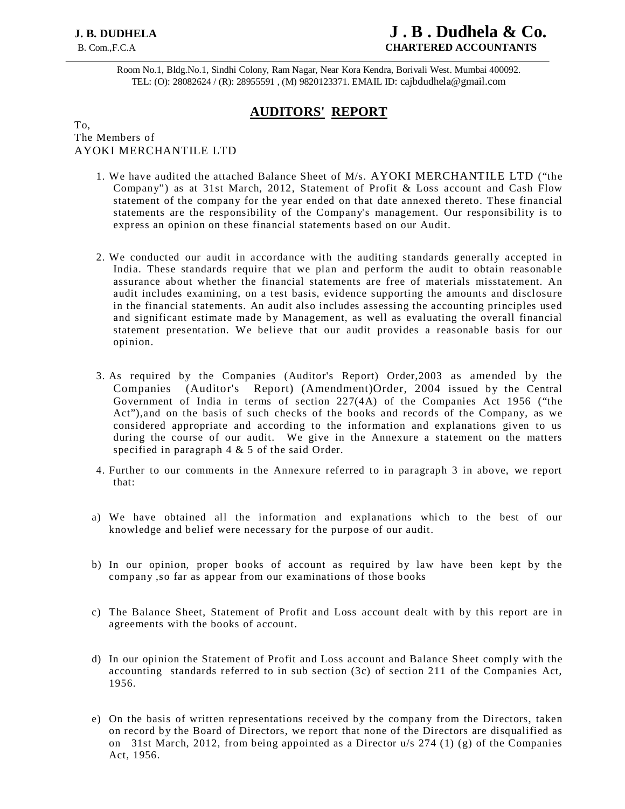# **J. B. DUDHELA****J . B . Dudhela & Co.** B. Com.,F.C.A **CHARTERED ACCOUNTANTS**

Room No.1, Bldg.No.1, Sindhi Colony, Ram Nagar, Near Kora Kendra, Borivali West. Mumbai 400092. TEL: (O): 28082624 / (R): 28955591 , (M) 9820123371. EMAIL ID: cajbdudhela@gmail.com

# **AUDITORS' REPORT**

# To, The Members of AYOKI MERCHANTILE LTD

- 1. We have audited the attached Balance Sheet of M/s. AYOKI MERCHANTILE LTD ("the Company") as at 31st March, 2012, Statement of Profit & Loss account and Cash Flow statement of the company for the year ended on that date annexed thereto. These financial statements are the responsibility of the Company's management. Our responsibility is to express an opinion on these financial statements based on our Audit.
- 2. We conducted our audit in accordance with the auditing standards generally accepted in India. These standards require that we plan and perform the audit to obtain reasonable assurance about whether the financial statements are free of materials misstatement. An audit includes examining, on a test basis, evidence supporting the amounts and disclosure in the financial statements. An audit also includes assessing the accounting principles used and significant estimate made by Management, as well as evaluating the overall financial statement presentation. We believe that our audit provides a reasonable basis for our opinion.
- 3. As required by the Companies (Auditor's Report) Order,2003 as amended by the Companies (Auditor's Report) (Amendment)Order, 2004 issued by the Central Government of India in terms of section 227(4A) of the Companies Act 1956 ("the Act"),and on the basis of such checks of the books and records of the Company, as we considered appropriate and according to the information and explanations given to us during the course of our audit. We give in the Annexure a statement on the matters specified in paragraph 4 & 5 of the said Order.
- 4. Further to our comments in the Annexure referred to in paragraph 3 in above, we report that:
- a) We have obtained all the information and explanations which to the best of our knowledge and belief were necessary for the purpose of our audit.
- b) In our opinion, proper books of account as required by law have been kept by the company ,so far as appear from our examinations of those books
- c) The Balance Sheet, Statement of Profit and Loss account dealt with by this report are in agreements with the books of account.
- d) In our opinion the Statement of Profit and Loss account and Balance Sheet comply with the accounting standards referred to in sub section (3c) of section 211 of the Companies Act, 1956.
- e) On the basis of written representations received by the company from the Directors, taken on record b y the Board of Directors, we report that none of the Directors are disqualified as on 31st March, 2012, from being appointed as a Director  $u/s$  274 (1) (g) of the Companies Act, 1956.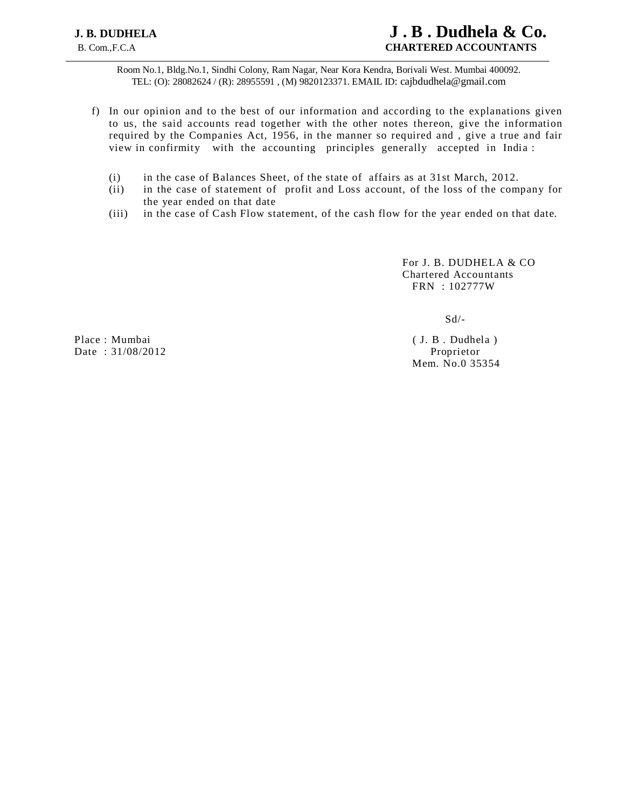Room No.1, Bldg.No.1, Sindhi Colony, Ram Nagar, Near Kora Kendra, Borivali West. Mumbai 400092. TEL: (O): 28082624 / (R): 28955591 , (M) 9820123371. EMAIL ID: cajbdudhela@gmail.com

- f) In our opinion and to the best of our information and according to the explanations given to us, the said accounts read together with the other notes thereon, give the information required by the Companies Act, 1956, in the manner so required and , give a true and fair view in confirmity with the accounting principles generally accepted in India :
	- (i) in the case of Balances Sheet, of the state of affairs as at 31st March, 2012.
	- (ii) in the case of statement of profit and Loss account, of the loss of the company for the year ended on that date
	- (iii) in the case of Cash Flow statement, of the cash flow for the year ended on that date.

 For J. B. DUDHELA & CO Chartered Accountants FRN : 102777W

 $Sd/-$ 

Mem. No.0 35354

Place : Mumbai ( J. B . Dudhela ) Date : 31/08/2012 Proprietor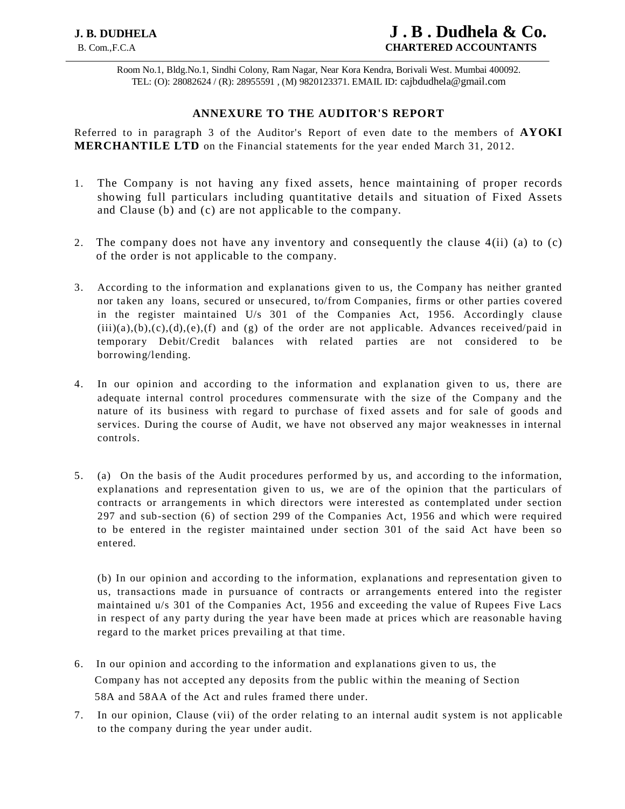Room No.1, Bldg.No.1, Sindhi Colony, Ram Nagar, Near Kora Kendra, Borivali West. Mumbai 400092. TEL: (O): 28082624 / (R): 28955591 , (M) 9820123371. EMAIL ID: cajbdudhela@gmail.com

# **ANNEXURE TO THE AUDITOR'S REPORT**

Referred to in paragraph 3 of the Auditor's Report of even date to the members of **AYOKI MERCHANTILE LTD** on the Financial statements for the year ended March 31, 2012.

- 1. The Company is not having any fixed assets, hence maintaining of proper records showing full particulars including quantitative details and situation of Fixed Assets and Clause (b) and (c) are not applicable to the company.
- 2. The company does not have any inventory and consequently the clause 4(ii) (a) to (c) of the order is not applicable to the company.
- 3. According to the information and explanations given to us, the Company has neither granted nor taken any loans, secured or unsecured, to/from Companies, firms or other parties covered in the register maintained U/s 301 of the Companies Act, 1956. Accordingly clause  $(iii)(a),(b),(c),(d),(e),(f)$  and  $(g)$  of the order are not applicable. Advances received/paid in temporary Debit/Credit balances with related parties are not considered to be borrowing/lending.
- 4. In our opinion and according to the information and explanation given to us, there are adequate internal control procedures commensurate with the size of the Company and the nature of its business with regard to purchase of fixed assets and for sale of goods and services. During the course of Audit, we have not observed any major weaknesses in internal controls.
- 5. (a) On the basis of the Audit procedures performed by us, and according to the information, explanations and representation given to us, we are of the opinion that the particulars of contracts or arrangements in which directors were interested as contemplated under section 297 and sub-section (6) of section 299 of the Companies Act, 1956 and which were required to be entered in the register maintained under section 301 of the said Act have been so entered.

(b) In our opinion and according to the information, explanations and representation given to us, transactions made in pursuance of contracts or arrangements entered into the register maintained u/s 301 of the Companies Act, 1956 and exceeding the value of Rupees Five Lacs in respect of any party during the year have been made at prices which are reasonable having regard to the market prices prevailing at that time.

- 6. In our opinion and according to the information and explanations given to us, the Company has not accepted any deposits from the public within the meaning of Section 58A and 58AA of the Act and rules framed there under.
- 7. In our opinion, Clause (vii) of the order relating to an internal audit system is not applicable to the company during the year under audit.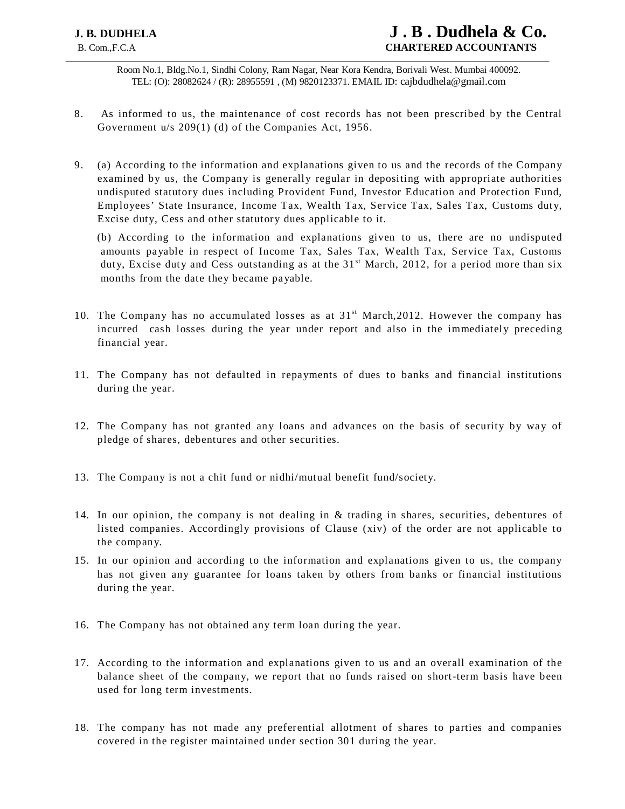Room No.1, Bldg.No.1, Sindhi Colony, Ram Nagar, Near Kora Kendra, Borivali West. Mumbai 400092. TEL: (O): 28082624 / (R): 28955591 , (M) 9820123371. EMAIL ID: cajbdudhela@gmail.com

- 8. As informed to us, the maintenance of cost records has not been prescribed by the Central Government u/s 209(1) (d) of the Companies Act, 1956.
- 9. (a) According to the information and explanations given to us and the records of the Company examined by us, the Company is generally regular in depositing with appropriate authorities undisputed statutory dues including Provident Fund, Investor Education and Protection Fund, Employees' State Insurance, Income Tax, Wealth Tax, Service Tax, Sales Tax, Customs duty, Excise duty, Cess and other statutory dues applicable to it.

(b) According to the information and explanations given to us, there are no undisputed amounts payable in respect of Income Tax, Sales Tax, Wealth Tax, Service Tax, Customs duty, Excise duty and Cess outstanding as at the  $31<sup>st</sup>$  March, 2012, for a period more than six months from the date they became payable.

- 10. The Company has no accumulated losses as at  $31<sup>st</sup> March,2012$ . However the company has incurred cash losses during the year under report and also in the immediately preceding financial year.
- 11. The Company has not defaulted in repayments of dues to banks and financial institutions during the year.
- 12. The Company has not granted any loans and advances on the basis of security by way of pledge of shares, debentures and other securities.
- 13. The Company is not a chit fund or nidhi/mutual benefit fund/society.
- 14. In our opinion, the company is not dealing in & trading in shares, securities, debentures of listed companies. Accordingly provisions of Clause (xiv) of the order are not applicable to the company.
- 15. In our opinion and according to the information and explanations given to us, the company has not given any guarantee for loans taken by others from banks or financial institutions during the year.
- 16. The Company has not obtained any term loan during the year.
- 17. According to the information and explanations given to us and an overall examination of the balance sheet of the company, we report that no funds raised on short-term basis have been used for long term investments.
- 18. The company has not made any preferential allotment of shares to parties and companies covered in the register maintained under section 301 during the year.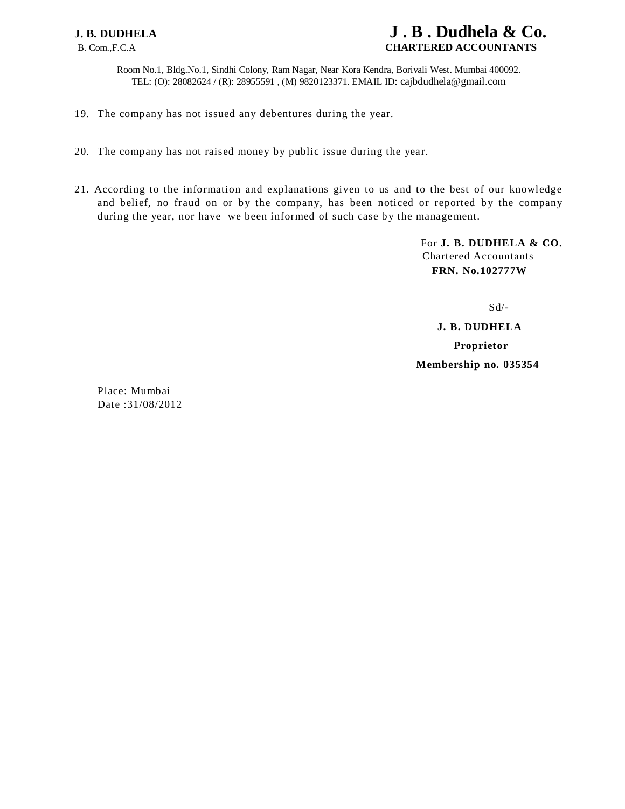# **J. B. DUDHELA****J . B . Dudhela & Co.** B. Com.,F.C.A **CHARTERED ACCOUNTANTS**

Room No.1, Bldg.No.1, Sindhi Colony, Ram Nagar, Near Kora Kendra, Borivali West. Mumbai 400092. TEL: (O): 28082624 / (R): 28955591 , (M) 9820123371. EMAIL ID: cajbdudhela@gmail.com

- 19. The company has not issued any debentures during the year.
- 20. The company has not raised money by public issue during the year.
- 21. According to the information and explanations given to us and to the best of our knowledge and belief, no fraud on or by the company, has been noticed or reported by the company during the year, nor have we been informed of such case by the management.

For **J. B. DUDHELA & CO.** Chartered Accountants **FRN. No.102777W**

 $S d$ 

 **J. B. DUDHELA Proprietor Membership no. 035354**

Place: Mumbai Date :31/08/2012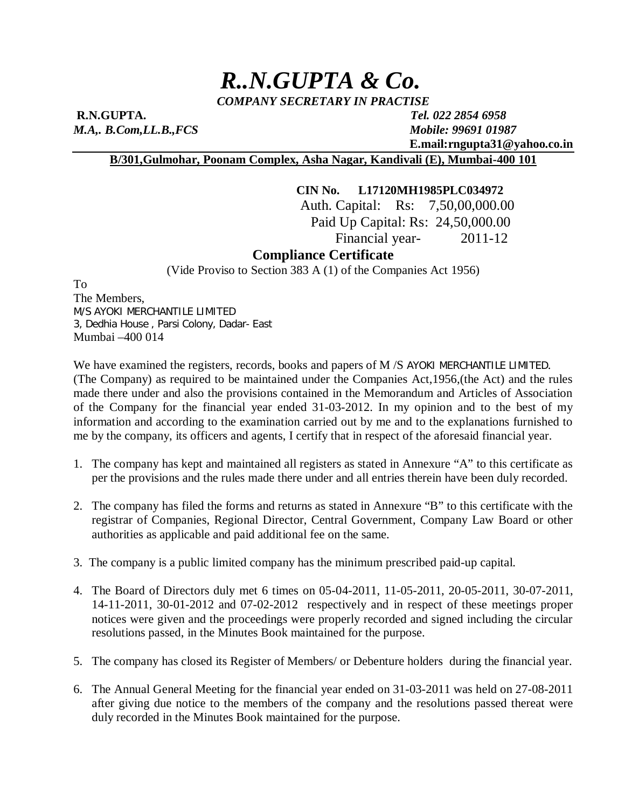# *R..N.GUPTA & Co.*

*COMPANY SECRETARY IN PRACTISE*

**R.N.GUPTA.** *Tel. 022 2854 6958 M.A,. B.Com,LL.B.,FCS Mobile: 99691 01987*

 **E.mail:rngupta31@yahoo.co.in**

# **B/301,Gulmohar, Poonam Complex, Asha Nagar, Kandivali (E), Mumbai-400 101**

# **CIN No. L17120MH1985PLC034972**

Auth. Capital: Rs: 7,50,00,000.00 Paid Up Capital: Rs: 24,50,000.00 Financial year- 2011-12

# **Compliance Certificate**

(Vide Proviso to Section 383 A (1) of the Companies Act 1956)

To The Members, M/S AYOKI MERCHANTILE LIMITED 3, Dedhia House , Parsi Colony, Dadar- East Mumbai –400 014

We have examined the registers, records, books and papers of M /S AYOKI MERCHANTILE LIMITED. (The Company) as required to be maintained under the Companies Act,1956,(the Act) and the rules made there under and also the provisions contained in the Memorandum and Articles of Association of the Company for the financial year ended 31-03-2012. In my opinion and to the best of my information and according to the examination carried out by me and to the explanations furnished to me by the company, its officers and agents, I certify that in respect of the aforesaid financial year.

- 1. The company has kept and maintained all registers as stated in Annexure "A" to this certificate as per the provisions and the rules made there under and all entries therein have been duly recorded.
- 2. The company has filed the forms and returns as stated in Annexure "B" to this certificate with the registrar of Companies, Regional Director, Central Government, Company Law Board or other authorities as applicable and paid additional fee on the same.
- 3. The company is a public limited company has the minimum prescribed paid-up capital.
- 4. The Board of Directors duly met 6 times on 05-04-2011, 11-05-2011, 20-05-2011, 30-07-2011, 14-11-2011, 30-01-2012 and 07-02-2012 respectively and in respect of these meetings proper notices were given and the proceedings were properly recorded and signed including the circular resolutions passed, in the Minutes Book maintained for the purpose.
- 5. The company has closed its Register of Members/ or Debenture holders during the financial year.
- 6. The Annual General Meeting for the financial year ended on 31-03-2011 was held on 27-08-2011 after giving due notice to the members of the company and the resolutions passed thereat were duly recorded in the Minutes Book maintained for the purpose.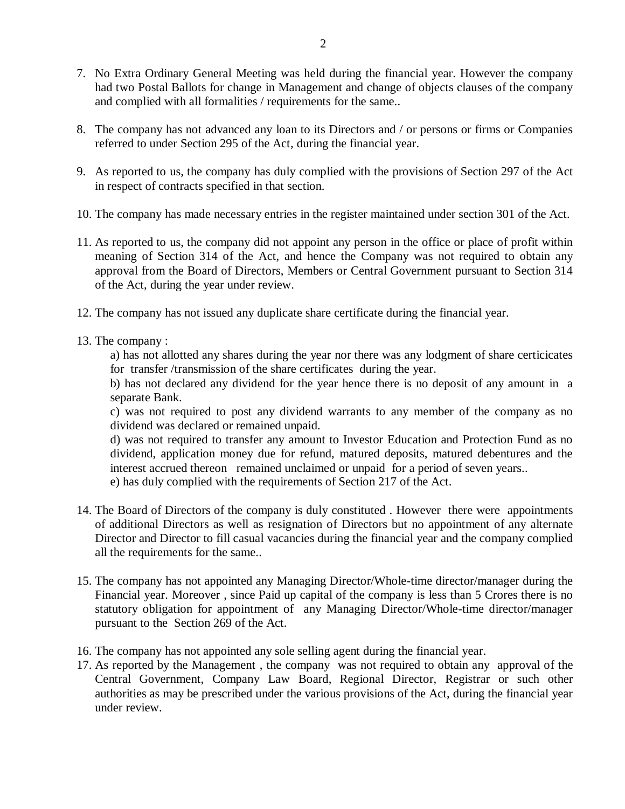- 7. No Extra Ordinary General Meeting was held during the financial year. However the company had two Postal Ballots for change in Management and change of objects clauses of the company and complied with all formalities / requirements for the same..
- 8. The company has not advanced any loan to its Directors and / or persons or firms or Companies referred to under Section 295 of the Act, during the financial year.
- 9. As reported to us, the company has duly complied with the provisions of Section 297 of the Act in respect of contracts specified in that section.
- 10. The company has made necessary entries in the register maintained under section 301 of the Act.
- 11. As reported to us, the company did not appoint any person in the office or place of profit within meaning of Section 314 of the Act, and hence the Company was not required to obtain any approval from the Board of Directors, Members or Central Government pursuant to Section 314 of the Act, during the year under review.
- 12. The company has not issued any duplicate share certificate during the financial year.
- 13. The company :

a) has not allotted any shares during the year nor there was any lodgment of share certicicates for transfer /transmission of the share certificates during the year.

b) has not declared any dividend for the year hence there is no deposit of any amount in a separate Bank.

c) was not required to post any dividend warrants to any member of the company as no dividend was declared or remained unpaid.

d) was not required to transfer any amount to Investor Education and Protection Fund as no dividend, application money due for refund, matured deposits, matured debentures and the interest accrued thereon remained unclaimed or unpaid for a period of seven years..

e) has duly complied with the requirements of Section 217 of the Act.

- 14. The Board of Directors of the company is duly constituted . However there were appointments of additional Directors as well as resignation of Directors but no appointment of any alternate Director and Director to fill casual vacancies during the financial year and the company complied all the requirements for the same..
- 15. The company has not appointed any Managing Director/Whole-time director/manager during the Financial year. Moreover , since Paid up capital of the company is less than 5 Crores there is no statutory obligation for appointment of any Managing Director/Whole-time director/manager pursuant to the Section 269 of the Act.
- 16. The company has not appointed any sole selling agent during the financial year.
- 17. As reported by the Management , the company was not required to obtain any approval of the Central Government, Company Law Board, Regional Director, Registrar or such other authorities as may be prescribed under the various provisions of the Act, during the financial year under review.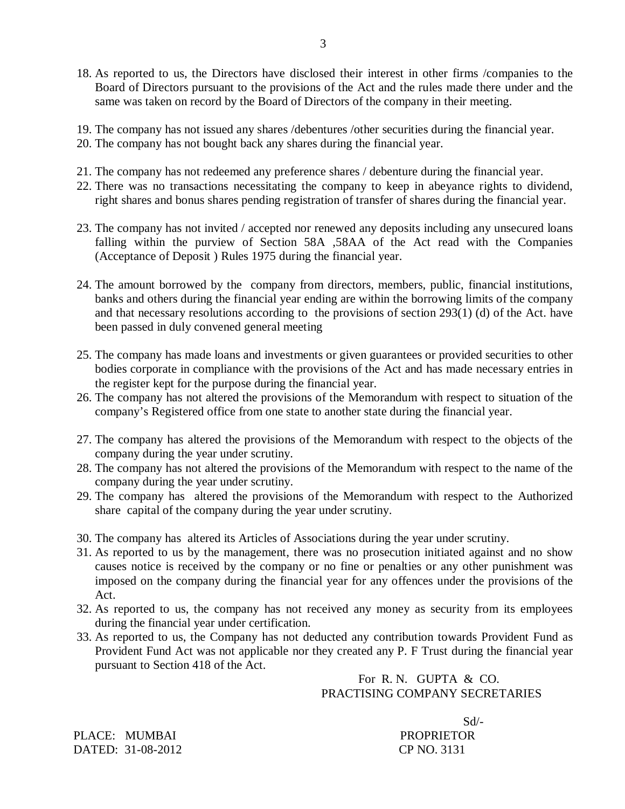18. As reported to us, the Directors have disclosed their interest in other firms /companies to the Board of Directors pursuant to the provisions of the Act and the rules made there under and the same was taken on record by the Board of Directors of the company in their meeting.

3

- 19. The company has not issued any shares /debentures /other securities during the financial year.
- 20. The company has not bought back any shares during the financial year.
- 21. The company has not redeemed any preference shares / debenture during the financial year.
- 22. There was no transactions necessitating the company to keep in abeyance rights to dividend, right shares and bonus shares pending registration of transfer of shares during the financial year.
- 23. The company has not invited / accepted nor renewed any deposits including any unsecured loans falling within the purview of Section 58A ,58AA of the Act read with the Companies (Acceptance of Deposit ) Rules 1975 during the financial year.
- 24. The amount borrowed by the company from directors, members, public, financial institutions, banks and others during the financial year ending are within the borrowing limits of the company and that necessary resolutions according to the provisions of section 293(1) (d) of the Act. have been passed in duly convened general meeting
- 25. The company has made loans and investments or given guarantees or provided securities to other bodies corporate in compliance with the provisions of the Act and has made necessary entries in the register kept for the purpose during the financial year.
- 26. The company has not altered the provisions of the Memorandum with respect to situation of the company's Registered office from one state to another state during the financial year.
- 27. The company has altered the provisions of the Memorandum with respect to the objects of the company during the year under scrutiny.
- 28. The company has not altered the provisions of the Memorandum with respect to the name of the company during the year under scrutiny.
- 29. The company has altered the provisions of the Memorandum with respect to the Authorized share capital of the company during the year under scrutiny.
- 30. The company has altered its Articles of Associations during the year under scrutiny.
- 31. As reported to us by the management, there was no prosecution initiated against and no show causes notice is received by the company or no fine or penalties or any other punishment was imposed on the company during the financial year for any offences under the provisions of the Act.
- 32. As reported to us, the company has not received any money as security from its employees during the financial year under certification.
- 33. As reported to us, the Company has not deducted any contribution towards Provident Fund as Provident Fund Act was not applicable nor they created any P. F Trust during the financial year pursuant to Section 418 of the Act.

 For R. N. GUPTA & CO. PRACTISING COMPANY SECRETARIES

Sd/-

PLACE: MUMBAI PROPRIETOR DATED: 31-08-2012 CP NO. 3131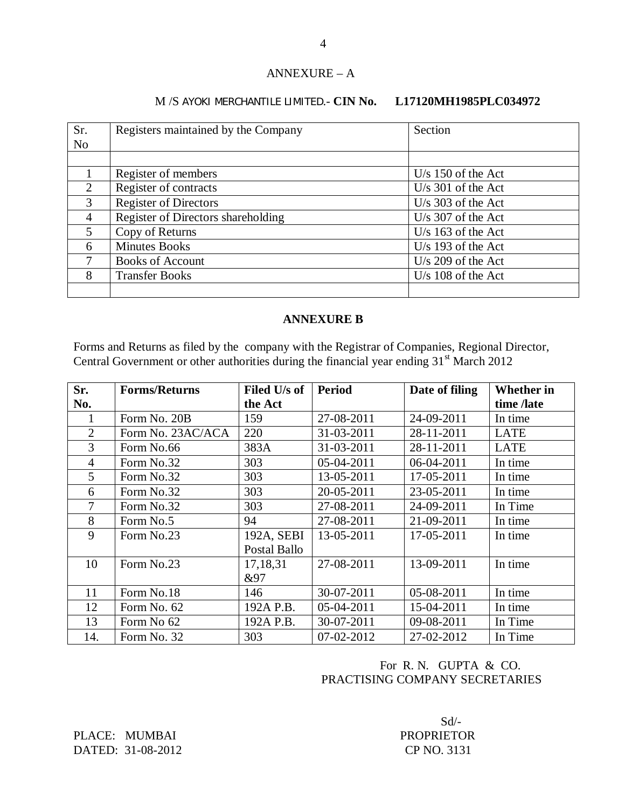# ANNEXURE – A

# M /S AYOKI MERCHANTILE LIMITED.- **CIN No. L17120MH1985PLC034972**

| Sr.            | Registers maintained by the Company | Section              |
|----------------|-------------------------------------|----------------------|
| N <sub>o</sub> |                                     |                      |
|                |                                     |                      |
|                | Register of members                 | $U/s$ 150 of the Act |
| $\overline{2}$ | Register of contracts               | $U/s$ 301 of the Act |
| 3              | <b>Register of Directors</b>        | $U/s$ 303 of the Act |
| 4              | Register of Directors shareholding  | $U/s$ 307 of the Act |
| $\mathfrak{S}$ | Copy of Returns                     | $U/s$ 163 of the Act |
| 6              | <b>Minutes Books</b>                | $U/s$ 193 of the Act |
| 7              | <b>Books of Account</b>             | $U/s$ 209 of the Act |
| 8              | <b>Transfer Books</b>               | U/s $108$ of the Act |
|                |                                     |                      |

# **ANNEXURE B**

Forms and Returns as filed by the company with the Registrar of Companies, Regional Director, Central Government or other authorities during the financial year ending  $31<sup>st</sup>$  March 2012

| Sr.            | <b>Forms/Returns</b> | Filed U/s of | <b>Period</b> | Date of filing | <b>Whether</b> in |
|----------------|----------------------|--------------|---------------|----------------|-------------------|
| No.            |                      | the Act      |               |                | time /late        |
|                | Form No. 20B         | 159          | 27-08-2011    | 24-09-2011     | In time           |
| $\overline{2}$ | Form No. 23AC/ACA    | 220          | 31-03-2011    | 28-11-2011     | <b>LATE</b>       |
| 3              | Form No.66           | 383A         | 31-03-2011    | 28-11-2011     | <b>LATE</b>       |
| 4              | Form No.32           | 303          | 05-04-2011    | 06-04-2011     | In time           |
| 5              | Form No.32           | 303          | 13-05-2011    | 17-05-2011     | In time           |
| 6              | Form No.32           | 303          | 20-05-2011    | 23-05-2011     | In time           |
| 7              | Form No.32           | 303          | 27-08-2011    | 24-09-2011     | In Time           |
| 8              | Form No.5            | 94           | 27-08-2011    | 21-09-2011     | In time           |
| 9              | Form No.23           | 192A, SEBI   | 13-05-2011    | 17-05-2011     | In time           |
|                |                      | Postal Ballo |               |                |                   |
| 10             | Form No.23           | 17,18,31     | 27-08-2011    | 13-09-2011     | In time           |
|                |                      | &97          |               |                |                   |
| 11             | Form No.18           | 146          | 30-07-2011    | 05-08-2011     | In time           |
| 12             | Form No. 62          | 192A P.B.    | 05-04-2011    | 15-04-2011     | In time           |
| 13             | Form No 62           | 192A P.B.    | 30-07-2011    | 09-08-2011     | In Time           |
| 14.            | Form No. 32          | 303          | 07-02-2012    | 27-02-2012     | In Time           |

# For R. N. GUPTA & CO. PRACTISING COMPANY SECRETARIES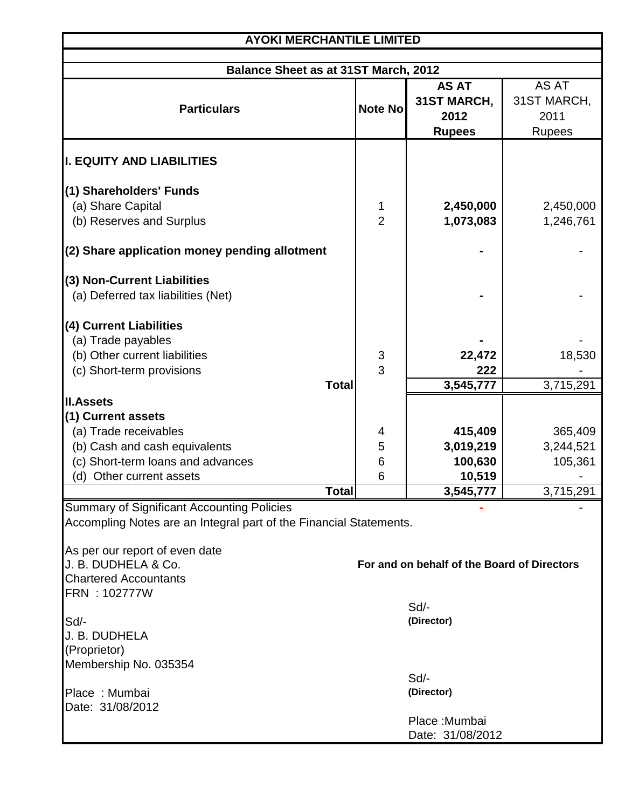| <b>AYOKI MERCHANTILE LIMITED</b>                                                                                        |                |                                             |               |  |  |
|-------------------------------------------------------------------------------------------------------------------------|----------------|---------------------------------------------|---------------|--|--|
| <b>Balance Sheet as at 31ST March, 2012</b>                                                                             |                |                                             |               |  |  |
|                                                                                                                         |                | <b>AS AT</b>                                | AS AT         |  |  |
| <b>Particulars</b>                                                                                                      | <b>Note No</b> | 31ST MARCH,                                 | 31ST MARCH,   |  |  |
|                                                                                                                         |                | 2012                                        | 2011          |  |  |
|                                                                                                                         |                | <b>Rupees</b>                               | <b>Rupees</b> |  |  |
| <b>I. EQUITY AND LIABILITIES</b>                                                                                        |                |                                             |               |  |  |
| (1) Shareholders' Funds                                                                                                 |                |                                             |               |  |  |
| (a) Share Capital                                                                                                       | 1              | 2,450,000                                   | 2,450,000     |  |  |
| (b) Reserves and Surplus                                                                                                | $\overline{2}$ | 1,073,083                                   | 1,246,761     |  |  |
| (2) Share application money pending allotment                                                                           |                |                                             |               |  |  |
| (3) Non-Current Liabilities                                                                                             |                |                                             |               |  |  |
| (a) Deferred tax liabilities (Net)                                                                                      |                |                                             |               |  |  |
| (4) Current Liabilities                                                                                                 |                |                                             |               |  |  |
| (a) Trade payables                                                                                                      |                |                                             |               |  |  |
| (b) Other current liabilities                                                                                           | $\mathfrak{S}$ | 22,472                                      | 18,530        |  |  |
| (c) Short-term provisions                                                                                               | $\overline{3}$ | 222                                         |               |  |  |
| <b>Total</b>                                                                                                            |                | 3,545,777                                   | 3,715,291     |  |  |
| <b>II.Assets</b>                                                                                                        |                |                                             |               |  |  |
| (1) Current assets                                                                                                      |                |                                             |               |  |  |
| (a) Trade receivables                                                                                                   | 4              | 415,409                                     | 365,409       |  |  |
| (b) Cash and cash equivalents                                                                                           | 5              | 3,019,219                                   | 3,244,521     |  |  |
| (c) Short-term loans and advances                                                                                       | 6              | 100,630                                     | 105,361       |  |  |
| (d) Other current assets                                                                                                | 6              | 10,519                                      |               |  |  |
| Total∣                                                                                                                  |                | 3,545,777                                   | 3,715,291     |  |  |
| <b>Summary of Significant Accounting Policies</b><br>Accompling Notes are an Integral part of the Financial Statements. |                |                                             |               |  |  |
|                                                                                                                         |                |                                             |               |  |  |
| As per our report of even date                                                                                          |                |                                             |               |  |  |
| J. B. DUDHELA & Co.                                                                                                     |                | For and on behalf of the Board of Directors |               |  |  |
| <b>Chartered Accountants</b>                                                                                            |                |                                             |               |  |  |
| FRN: 102777W                                                                                                            |                |                                             |               |  |  |
|                                                                                                                         |                | Sd                                          |               |  |  |
| Sd/-<br>J. B. DUDHELA                                                                                                   |                | (Director)                                  |               |  |  |
| (Proprietor)                                                                                                            |                |                                             |               |  |  |
| Membership No. 035354                                                                                                   |                |                                             |               |  |  |
|                                                                                                                         |                | Sd                                          |               |  |  |
| Place: Mumbai                                                                                                           |                | (Director)                                  |               |  |  |
| Date: 31/08/2012                                                                                                        |                |                                             |               |  |  |
|                                                                                                                         |                | Place: Mumbai                               |               |  |  |
|                                                                                                                         |                | Date: 31/08/2012                            |               |  |  |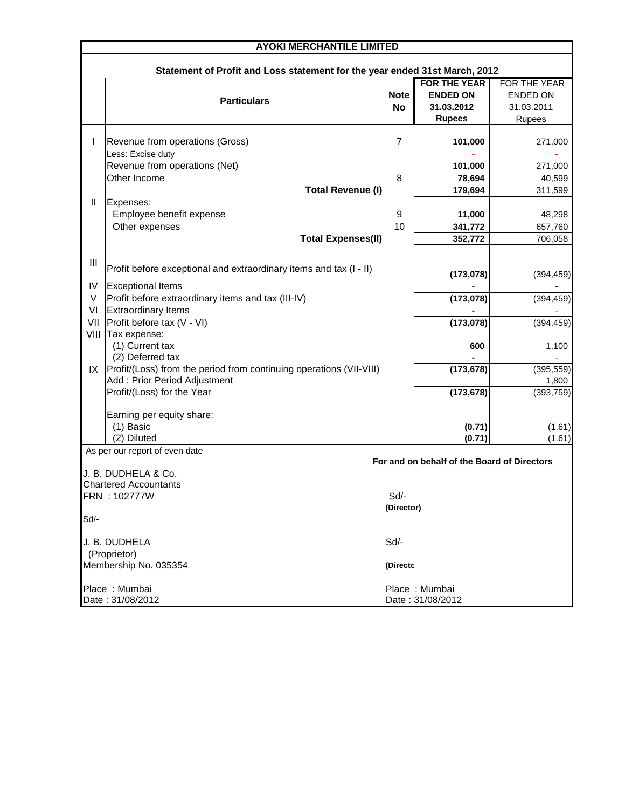| <b>AYOKI MERCHANTILE LIMITED</b> |                                                                            |                |                                             |                 |  |
|----------------------------------|----------------------------------------------------------------------------|----------------|---------------------------------------------|-----------------|--|
|                                  |                                                                            |                |                                             |                 |  |
|                                  | Statement of Profit and Loss statement for the year ended 31st March, 2012 |                |                                             |                 |  |
|                                  |                                                                            |                | <b>FOR THE YEAR</b>                         | FOR THE YEAR    |  |
|                                  | <b>Particulars</b>                                                         | <b>Note</b>    | <b>ENDED ON</b>                             | <b>ENDED ON</b> |  |
|                                  |                                                                            | No             | 31.03.2012                                  | 31.03.2011      |  |
|                                  |                                                                            |                | <b>Rupees</b>                               | Rupees          |  |
|                                  |                                                                            | $\overline{7}$ |                                             |                 |  |
| $\mathbf{I}$                     | Revenue from operations (Gross)                                            |                | 101,000                                     | 271,000         |  |
|                                  | Less: Excise duty                                                          |                |                                             |                 |  |
|                                  | Revenue from operations (Net)<br>Other Income                              |                | 101,000                                     | 271,000         |  |
|                                  |                                                                            | 8              | 78,694                                      | 40,599          |  |
|                                  | <b>Total Revenue (I)</b>                                                   |                | 179,694                                     | 311,599         |  |
| Ш                                | Expenses:                                                                  |                |                                             |                 |  |
|                                  | Employee benefit expense                                                   | 9              | 11,000                                      | 48,298          |  |
|                                  | Other expenses                                                             | 10             | 341,772                                     | 657,760         |  |
|                                  | <b>Total Expenses(II)</b>                                                  |                | 352,772                                     | 706,058         |  |
|                                  |                                                                            |                |                                             |                 |  |
| Ш                                | Profit before exceptional and extraordinary items and tax (I - II)         |                |                                             |                 |  |
|                                  |                                                                            |                | (173,078)                                   | (394, 459)      |  |
| IV                               | <b>Exceptional Items</b>                                                   |                |                                             |                 |  |
| V                                | Profit before extraordinary items and tax (III-IV)                         |                | (173, 078)                                  | (394, 459)      |  |
| VI                               | <b>Extraordinary Items</b>                                                 |                |                                             |                 |  |
| VII                              | Profit before tax (V - VI)                                                 |                | (173, 078)                                  | (394, 459)      |  |
| VIII                             | Tax expense:                                                               |                |                                             |                 |  |
|                                  | (1) Current tax                                                            |                | 600                                         | 1,100           |  |
|                                  | (2) Deferred tax                                                           |                |                                             |                 |  |
| IX                               | Profit/(Loss) from the period from continuing operations (VII-VIII)        |                | (173, 678)                                  | (395, 559)      |  |
|                                  | Add: Prior Period Adjustment                                               |                |                                             | 1,800           |  |
|                                  | Profit/(Loss) for the Year                                                 |                | (173, 678)                                  | (393, 759)      |  |
|                                  |                                                                            |                |                                             |                 |  |
|                                  | Earning per equity share:                                                  |                |                                             |                 |  |
|                                  | (1) Basic                                                                  |                | (0.71)                                      | (1.61)          |  |
|                                  | (2) Diluted                                                                |                | (0.71)                                      | (1.61)          |  |
|                                  | As per our report of even date                                             |                | For and on behalf of the Board of Directors |                 |  |
|                                  |                                                                            |                |                                             |                 |  |
|                                  | J. B. DUDHELA & Co.<br><b>Chartered Accountants</b>                        |                |                                             |                 |  |
|                                  | FRN: 102777W                                                               | Sd/-           |                                             |                 |  |
|                                  |                                                                            | (Director)     |                                             |                 |  |
| Sd/-                             |                                                                            |                |                                             |                 |  |
|                                  |                                                                            |                |                                             |                 |  |
|                                  | J. B. DUDHELA                                                              | Sd/-           |                                             |                 |  |
|                                  | (Proprietor)                                                               |                |                                             |                 |  |
|                                  | Membership No. 035354                                                      | (Directo       |                                             |                 |  |
|                                  |                                                                            |                |                                             |                 |  |
|                                  | Place: Mumbai                                                              |                | Place: Mumbai                               |                 |  |
|                                  | Date: 31/08/2012                                                           |                | Date: 31/08/2012                            |                 |  |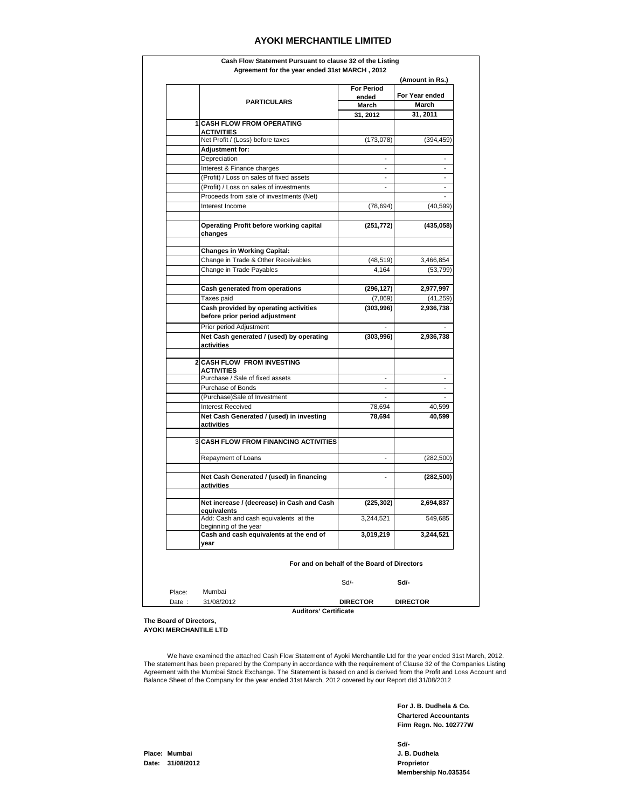|        |                                                                |                                             | (Amount in Rs.)              |
|--------|----------------------------------------------------------------|---------------------------------------------|------------------------------|
|        |                                                                | <b>For Period</b><br>ended                  | For Year ended               |
|        | <b>PARTICULARS</b>                                             | March                                       | <b>March</b>                 |
|        |                                                                | 31, 2012                                    | 31, 2011                     |
|        | <b>1 CASH FLOW FROM OPERATING</b>                              |                                             |                              |
|        | <b>ACTIVITIES</b>                                              |                                             |                              |
|        | Net Profit / (Loss) before taxes                               | (173, 078)                                  | (394, 459)                   |
|        | Adjustment for:                                                |                                             |                              |
|        | Depreciation                                                   |                                             |                              |
|        | Interest & Finance charges                                     |                                             |                              |
|        | (Profit) / Loss on sales of fixed assets                       |                                             | $\qquad \qquad \blacksquare$ |
|        | (Profit) / Loss on sales of investments                        |                                             | ۰                            |
|        | Proceeds from sale of investments (Net)                        |                                             |                              |
|        | Interest Income                                                | (78,694)                                    | (40,599)                     |
|        |                                                                |                                             |                              |
|        | <b>Operating Profit before working capital</b><br>changes      | (251, 772)                                  | (435, 058)                   |
|        | <b>Changes in Working Capital:</b>                             |                                             |                              |
|        | Change in Trade & Other Receivables                            | (48, 519)                                   | 3,466,854                    |
|        | Change in Trade Payables                                       | 4,164                                       | (53, 799)                    |
|        |                                                                |                                             |                              |
|        | Cash generated from operations                                 | (296, 127)                                  | 2,977,997                    |
|        | Taxes paid                                                     | (7, 869)                                    | (41,259)                     |
|        | Cash provided by operating activities                          | (303,996)                                   | 2,936,738                    |
|        | before prior period adjustment                                 |                                             |                              |
|        | Prior period Adjustment                                        |                                             |                              |
|        | Net Cash generated / (used) by operating                       | (303,996)                                   | 2,936,738                    |
|        | activities                                                     |                                             |                              |
|        | <b>2 CASH FLOW FROM INVESTING</b>                              |                                             |                              |
|        | <b>ACTIVITIES</b>                                              |                                             |                              |
|        | Purchase / Sale of fixed assets                                |                                             | ä,                           |
|        | Purchase of Bonds                                              | $\overline{\phantom{a}}$                    | $\overline{\phantom{a}}$     |
|        | (Purchase)Sale of Investment                                   |                                             | $\overline{\phantom{a}}$     |
|        | <b>Interest Received</b>                                       | 78,694                                      | 40,599                       |
|        | Net Cash Generated / (used) in investing                       | 78,694                                      | 40,599                       |
|        | activities                                                     |                                             |                              |
|        | <b>3 CASH FLOW FROM FINANCING ACTIVITIES</b>                   |                                             |                              |
|        | Repayment of Loans                                             | $\overline{\phantom{a}}$                    |                              |
|        |                                                                |                                             | (282, 500)                   |
|        | Net Cash Generated / (used) in financing                       |                                             | (282, 500)                   |
|        | activities                                                     |                                             |                              |
|        | Net increase / (decrease) in Cash and Cash                     | (225, 302)                                  | 2,694,837                    |
|        | quivalents                                                     |                                             |                              |
|        | Add: Cash and cash equivalents at the<br>beginning of the year | 3,244,521                                   | 549,685                      |
|        | Cash and cash equivalents at the end of                        | 3,019,219                                   | 3,244,521                    |
|        | year                                                           |                                             |                              |
|        |                                                                | For and on behalf of the Board of Directors |                              |
|        |                                                                | Sd/-                                        | Sd/-                         |
| Place: | Mumbai                                                         |                                             |                              |
| Date:  | 31/08/2012                                                     | <b>DIRECTOR</b>                             | <b>DIRECTOR</b>              |

**Auditors' Certificate**

#### **The Board of Directors, AYOKI MERCHANTILE LTD**

 We have examined the attached Cash Flow Statement of Ayoki Merchantile Ltd for the year ended 31st March, 2012. The statement has been prepared by the Company in accordance with the requirement of Clause 32 of the Companies Listing Agreement with the Mumbai Stock Exchange. The Statement is based on and is derived from the Profit and Loss Account and Balance Sheet of the Company for the year ended 31st March, 2012 covered by our Report dtd 31/08/2012

> **For J. B. Dudhela & Co. Chartered Accountants Firm Regn. No. 102777W**

**Sd/- Membership No.035354**

**Place: Mumbai J. B. Dudhela Date: 31/08/2012 Proprietor**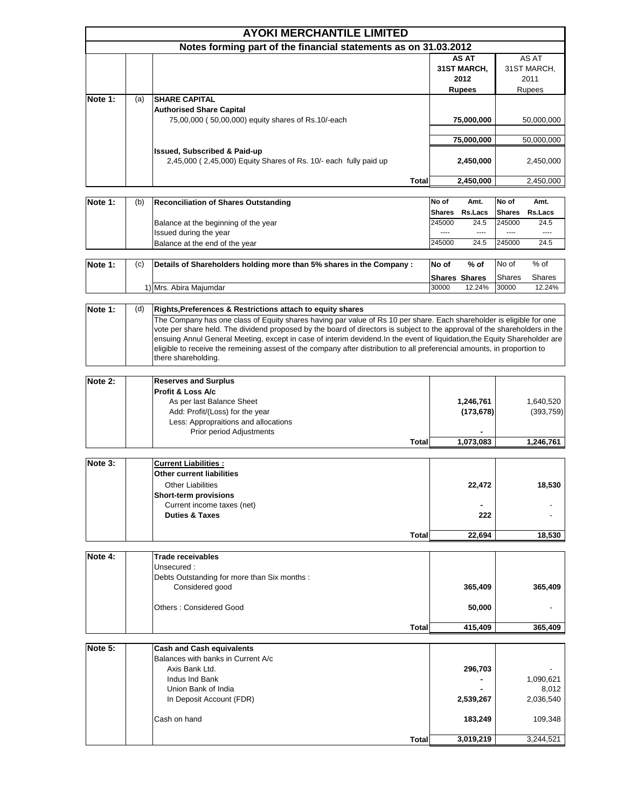|         |     | <b>AYOKI MERCHANTILE LIMITED</b>                                 |       |       |                      |       |               |
|---------|-----|------------------------------------------------------------------|-------|-------|----------------------|-------|---------------|
|         |     | Notes forming part of the financial statements as on 31.03.2012  |       |       |                      |       |               |
|         |     |                                                                  |       |       | AS AT                |       | AS AT         |
|         |     |                                                                  |       |       | 31ST MARCH,          |       | 31ST MARCH,   |
|         |     |                                                                  |       |       | 2012                 |       | 2011          |
|         |     |                                                                  |       |       | <b>Rupees</b>        |       | Rupees        |
| Note 1: | (a) | <b>SHARE CAPITAL</b>                                             |       |       |                      |       |               |
|         |     | <b>Authorised Share Capital</b>                                  |       |       |                      |       |               |
|         |     | 75,00,000 (50,00,000) equity shares of Rs.10/-each               |       |       | 75,000,000           |       | 50,000,000    |
|         |     |                                                                  |       |       |                      |       |               |
|         |     |                                                                  |       |       | 75,000,000           |       | 50,000,000    |
|         |     | <b>Issued, Subscribed &amp; Paid-up</b>                          |       |       |                      |       |               |
|         |     | 2,45,000 (2,45,000) Equity Shares of Rs. 10/- each fully paid up |       |       | 2,450,000            |       | 2,450,000     |
|         |     |                                                                  |       |       |                      |       |               |
|         |     |                                                                  | Total |       | 2,450,000            |       | 2,450,000     |
|         |     |                                                                  |       |       |                      |       |               |
| Note 1: | (b) | Reconciliation of Shares Outstanding                             |       | No of | Amt.                 | No of | Amt.          |
|         |     |                                                                  |       |       | Charge Delace Charge |       | <b>Delace</b> |

| . |                                      |               |                       |          |                |  |
|---|--------------------------------------|---------------|-----------------------|----------|----------------|--|
|   |                                      | <b>Shares</b> | <b>Rs.Lacs Shares</b> |          | <b>Rs.Lacs</b> |  |
|   | Balance at the beginning of the year | 245000        | 24.5                  | 245000   | 24.5           |  |
|   | Issued during the year               | $- - - -$     | $\cdots$              | $\cdots$ | $- - - -$      |  |
|   | Balance at the end of the vear       | 245000        | 24.5                  | 245000   | 24.5           |  |
|   |                                      |               |                       |          |                |  |

| Note 1: | (c) | Details of Shareholders holding more than 5% shares in the Company : | No of | % of                 | No of         | % of   |
|---------|-----|----------------------------------------------------------------------|-------|----------------------|---------------|--------|
|         |     |                                                                      |       | <b>Shares Shares</b> | <b>Shares</b> | Shares |
|         |     | I) Mrs. Abira Maiumdar                                               | 30000 | 12.24%               | 30000         | 12.24% |

| Note 1: | (d) | Rights, Preferences & Restrictions attach to equity shares                                                                                                                                                                                                                                                                                                                                                                                                                                                                          |
|---------|-----|-------------------------------------------------------------------------------------------------------------------------------------------------------------------------------------------------------------------------------------------------------------------------------------------------------------------------------------------------------------------------------------------------------------------------------------------------------------------------------------------------------------------------------------|
|         |     | The Company has one class of Equity shares having par value of Rs 10 per share. Each shareholder is eligible for one<br>vote per share held. The dividend proposed by the board of directors is subject to the approval of the shareholders in the<br>ensuing Annul General Meeting, except in case of interim devidend. In the event of liquidation, the Equity Shareholder are<br>eligible to receive the remeining assest of the company after distribution to all preferencial amounts, in proportion to<br>there shareholding. |

| Note 2: | <b>Reserves and Surplus</b>          |                          |            |
|---------|--------------------------------------|--------------------------|------------|
|         | <b>IProfit &amp; Loss A/c</b>        |                          |            |
|         | As per last Balance Sheet            | 1,246,761                | 1,640,520  |
|         | Add: Profit/(Loss) for the year      | (173, 678)               | (393, 759) |
|         | Less: Appropraitions and allocations |                          |            |
|         | Prior period Adjustments             | $\overline{\phantom{a}}$ |            |
|         | <b>Total</b>                         | 1,073,083                | 1,246,761  |

| Note 3: | <b>Current Liabilities:</b>      |                |        |
|---------|----------------------------------|----------------|--------|
|         | <b>Other current liabilities</b> |                |        |
|         | <b>Other Liabilities</b>         | 22,472         | 18,530 |
|         | Short-term provisions            |                |        |
|         | Current income taxes (net)       | $\blacksquare$ | -      |
|         | <b>Duties &amp; Taxes</b>        | 222            |        |
|         |                                  |                |        |
|         | <b>Total</b>                     | 22.694         | 18,530 |

| Note 4: | <b>Trade receivables</b>                     |         |         |
|---------|----------------------------------------------|---------|---------|
|         | Unsecured:                                   |         |         |
|         | Debts Outstanding for more than Six months : |         |         |
|         | Considered good                              | 365,409 | 365,409 |
|         | <b>Others: Considered Good</b>               | 50,000  |         |
|         | <b>Total</b>                                 | 415.409 | 365,409 |

| Note 5: | <b>Cash and Cash equivalents</b>   |                          |           |
|---------|------------------------------------|--------------------------|-----------|
|         | Balances with banks in Current A/c |                          |           |
|         | Axis Bank Ltd.                     | 296,703                  | -         |
|         | Indus Ind Bank                     | $\overline{\phantom{0}}$ | 1,090,621 |
|         | Union Bank of India                | $\blacksquare$           | 8,012     |
|         | In Deposit Account (FDR)           | 2,539,267                | 2,036,540 |
|         | Cash on hand                       | 183,249                  | 109,348   |
|         | <b>Total</b>                       | 3,019,219                | 3,244,521 |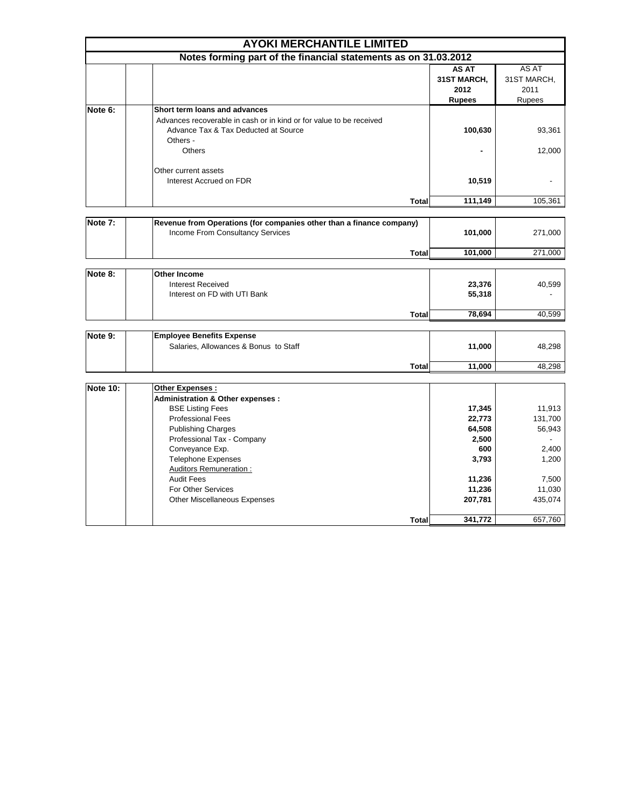|                 | <b>AYOKI MERCHANTILE LIMITED</b>                                                                                                         |                                               |                                        |
|-----------------|------------------------------------------------------------------------------------------------------------------------------------------|-----------------------------------------------|----------------------------------------|
|                 | Notes forming part of the financial statements as on 31.03.2012                                                                          |                                               |                                        |
|                 |                                                                                                                                          | AS AT<br>31ST MARCH,<br>2012<br><b>Rupees</b> | AS AT<br>31ST MARCH,<br>2011<br>Rupees |
| Note 6:         | Short term loans and advances                                                                                                            |                                               |                                        |
|                 | Advances recoverable in cash or in kind or for value to be received<br>Advance Tax & Tax Deducted at Source<br>Others -<br><b>Others</b> | 100,630                                       | 93,361<br>12,000                       |
|                 | Other current assets<br>Interest Accrued on FDR                                                                                          | 10,519                                        |                                        |
|                 | <b>Total</b>                                                                                                                             | 111,149                                       | 105,361                                |
|                 |                                                                                                                                          |                                               |                                        |
| Note 7:         | Revenue from Operations (for companies other than a finance company)<br>Income From Consultancy Services                                 | 101,000                                       | 271,000                                |
|                 | <b>Total</b>                                                                                                                             | 101,000                                       | 271,000                                |
| Note 8:         | <b>Other Income</b>                                                                                                                      |                                               |                                        |
|                 | <b>Interest Received</b><br>Interest on FD with UTI Bank                                                                                 | 23,376<br>55,318                              | 40,599                                 |
|                 | <b>Total</b>                                                                                                                             | 78,694                                        | 40,599                                 |
|                 |                                                                                                                                          |                                               |                                        |
| Note 9:         | <b>Employee Benefits Expense</b><br>Salaries, Allowances & Bonus to Staff                                                                | 11,000                                        | 48,298                                 |
|                 | Total                                                                                                                                    | 11,000                                        | 48,298                                 |
| <b>Note 10:</b> | Other Expenses :                                                                                                                         |                                               |                                        |
|                 | Administration & Other expenses :<br><b>BSE Listing Fees</b>                                                                             | 17,345                                        | 11,913                                 |
|                 | <b>Professional Fees</b><br><b>Publishing Charges</b><br>Professional Tax - Company                                                      | 22,773<br>64,508<br>2,500                     | 131,700<br>56,943                      |
|                 | Conveyance Exp.<br><b>Telephone Expenses</b><br><b>Auditors Remuneration:</b>                                                            | 600<br>3,793                                  | 2,400<br>1,200                         |
|                 | <b>Audit Fees</b><br>For Other Services                                                                                                  | 11,236<br>11,236                              | 7,500<br>11,030                        |
|                 | <b>Other Miscellaneous Expenses</b>                                                                                                      | 207,781                                       | 435,074                                |
|                 | <b>Total</b>                                                                                                                             | 341,772                                       | 657,760                                |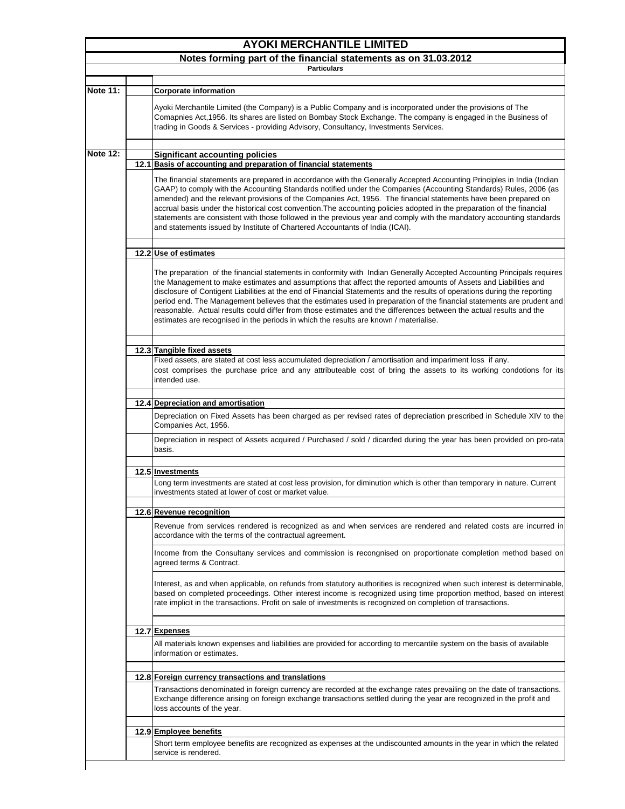|                 | <b>AYOKI MERCHANTILE LIMITED</b>                                                                                                                                                                                                                                                                                                                                                                                                                                                                                                                                                                                                                                                                                  |
|-----------------|-------------------------------------------------------------------------------------------------------------------------------------------------------------------------------------------------------------------------------------------------------------------------------------------------------------------------------------------------------------------------------------------------------------------------------------------------------------------------------------------------------------------------------------------------------------------------------------------------------------------------------------------------------------------------------------------------------------------|
|                 | Notes forming part of the financial statements as on 31.03.2012<br><b>Particulars</b>                                                                                                                                                                                                                                                                                                                                                                                                                                                                                                                                                                                                                             |
|                 |                                                                                                                                                                                                                                                                                                                                                                                                                                                                                                                                                                                                                                                                                                                   |
| <b>Note 11:</b> | <b>Corporate information</b>                                                                                                                                                                                                                                                                                                                                                                                                                                                                                                                                                                                                                                                                                      |
|                 | Ayoki Merchantile Limited (the Company) is a Public Company and is incorporated under the provisions of The<br>Comapnies Act, 1956. Its shares are listed on Bombay Stock Exchange. The company is engaged in the Business of<br>trading in Goods & Services - providing Advisory, Consultancy, Investments Services.                                                                                                                                                                                                                                                                                                                                                                                             |
| <b>Note 12:</b> | <b>Significant accounting policies</b>                                                                                                                                                                                                                                                                                                                                                                                                                                                                                                                                                                                                                                                                            |
|                 | 12.1 Basis of accounting and preparation of financial statements                                                                                                                                                                                                                                                                                                                                                                                                                                                                                                                                                                                                                                                  |
|                 | The financial statements are prepared in accordance with the Generally Accepted Accounting Principles in India (Indian<br>GAAP) to comply with the Accounting Standards notified under the Companies (Accounting Standards) Rules, 2006 (as<br>amended) and the relevant provisions of the Companies Act, 1956. The financial statements have been prepared on<br>accrual basis under the historical cost convention. The accounting policies adopted in the preparation of the financial<br>statements are consistent with those followed in the previous year and comply with the mandatory accounting standards<br>and statements issued by Institute of Chartered Accountants of India (ICAI).                |
|                 | 12.2 Use of estimates                                                                                                                                                                                                                                                                                                                                                                                                                                                                                                                                                                                                                                                                                             |
|                 | The preparation of the financial statements in conformity with Indian Generally Accepted Accounting Principals requires<br>the Management to make estimates and assumptions that affect the reported amounts of Assets and Liabilities and<br>disclosure of Contigent Liabilities at the end of Financial Statements and the results of operations during the reporting<br>period end. The Management believes that the estimates used in preparation of the financial statements are prudent and<br>reasonable. Actual results could differ from those estimates and the differences between the actual results and the<br>estimates are recognised in the periods in which the results are known / materialise. |
|                 | 12.3 Tangible fixed assets                                                                                                                                                                                                                                                                                                                                                                                                                                                                                                                                                                                                                                                                                        |
|                 | Fixed assets, are stated at cost less accumulated depreciation / amortisation and impariment loss if any.<br>cost comprises the purchase price and any attributeable cost of bring the assets to its working condotions for its<br>intended use.                                                                                                                                                                                                                                                                                                                                                                                                                                                                  |
|                 | 12.4 Depreciation and amortisation                                                                                                                                                                                                                                                                                                                                                                                                                                                                                                                                                                                                                                                                                |
|                 | Depreciation on Fixed Assets has been charged as per revised rates of depreciation prescribed in Schedule XIV to the<br>Companies Act, 1956.                                                                                                                                                                                                                                                                                                                                                                                                                                                                                                                                                                      |
|                 | Depreciation in respect of Assets acquired / Purchased / sold / dicarded during the year has been provided on pro-rata<br>basis.                                                                                                                                                                                                                                                                                                                                                                                                                                                                                                                                                                                  |
|                 | 12.5 Investments                                                                                                                                                                                                                                                                                                                                                                                                                                                                                                                                                                                                                                                                                                  |
|                 | Long term investments are stated at cost less provision, for diminution which is other than temporary in nature. Current<br>investments stated at lower of cost or market value.                                                                                                                                                                                                                                                                                                                                                                                                                                                                                                                                  |
|                 | 12.6 Revenue recognition                                                                                                                                                                                                                                                                                                                                                                                                                                                                                                                                                                                                                                                                                          |
|                 | Revenue from services rendered is recognized as and when services are rendered and related costs are incurred in<br>accordance with the terms of the contractual agreement.                                                                                                                                                                                                                                                                                                                                                                                                                                                                                                                                       |
|                 | Income from the Consultany services and commission is recongnised on proportionate completion method based on<br>agreed terms & Contract.                                                                                                                                                                                                                                                                                                                                                                                                                                                                                                                                                                         |
|                 | Interest, as and when applicable, on refunds from statutory authorities is recognized when such interest is determinable,<br>based on completed proceedings. Other interest income is recognized using time proportion method, based on interest<br>rate implicit in the transactions. Profit on sale of investments is recognized on completion of transactions.                                                                                                                                                                                                                                                                                                                                                 |
|                 | 12.7 Expenses                                                                                                                                                                                                                                                                                                                                                                                                                                                                                                                                                                                                                                                                                                     |
|                 | All materials known expenses and liabilities are provided for according to mercantile system on the basis of available<br>information or estimates.                                                                                                                                                                                                                                                                                                                                                                                                                                                                                                                                                               |
|                 | 12.8 Foreign currency transactions and translations                                                                                                                                                                                                                                                                                                                                                                                                                                                                                                                                                                                                                                                               |
|                 | Transactions denominated in foreign currency are recorded at the exchange rates prevailing on the date of transactions.<br>Exchange difference arising on foreign exchange transactions settled during the year are recognized in the profit and<br>loss accounts of the year.                                                                                                                                                                                                                                                                                                                                                                                                                                    |
|                 | 12.9 Employee benefits                                                                                                                                                                                                                                                                                                                                                                                                                                                                                                                                                                                                                                                                                            |
|                 | Short term employee benefits are recognized as expenses at the undiscounted amounts in the year in which the related<br>service is rendered.                                                                                                                                                                                                                                                                                                                                                                                                                                                                                                                                                                      |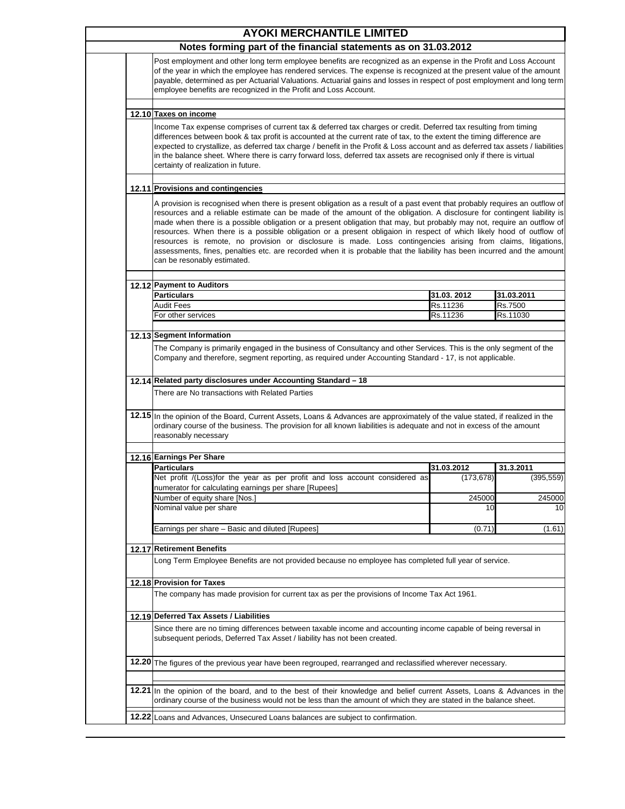| <b>AYOKI MERCHANTILE LIMITED</b>                                                                                                                                                                                                                                                                                                                                                                                                                                                                                                                                                                                                                                                                                                                                                   |                      |                                      |
|------------------------------------------------------------------------------------------------------------------------------------------------------------------------------------------------------------------------------------------------------------------------------------------------------------------------------------------------------------------------------------------------------------------------------------------------------------------------------------------------------------------------------------------------------------------------------------------------------------------------------------------------------------------------------------------------------------------------------------------------------------------------------------|----------------------|--------------------------------------|
| Notes forming part of the financial statements as on 31.03.2012                                                                                                                                                                                                                                                                                                                                                                                                                                                                                                                                                                                                                                                                                                                    |                      |                                      |
| Post employment and other long term employee benefits are recognized as an expense in the Profit and Loss Account<br>of the year in which the employee has rendered services. The expense is recognized at the present value of the amount<br>payable, determined as per Actuarial Valuations. Actuarial gains and losses in respect of post employment and long term<br>employee benefits are recognized in the Profit and Loss Account.                                                                                                                                                                                                                                                                                                                                          |                      |                                      |
| 12.10 Taxes on income                                                                                                                                                                                                                                                                                                                                                                                                                                                                                                                                                                                                                                                                                                                                                              |                      |                                      |
| Income Tax expense comprises of current tax & deferred tax charges or credit. Deferred tax resulting from timing<br>differences between book & tax profit is accounted at the current rate of tax, to the extent the timing difference are<br>expected to crystallize, as deferred tax charge / benefit in the Profit & Loss account and as deferred tax assets / liabilities<br>in the balance sheet. Where there is carry forward loss, deferred tax assets are recognised only if there is virtual<br>certainty of realization in future.                                                                                                                                                                                                                                       |                      |                                      |
| 12.11 Provisions and contingencies                                                                                                                                                                                                                                                                                                                                                                                                                                                                                                                                                                                                                                                                                                                                                 |                      |                                      |
| A provision is recognised when there is present obligation as a result of a past event that probably requires an outflow of<br>resources and a reliable estimate can be made of the amount of the obligation. A disclosure for contingent liability is<br>made when there is a possible obligation or a present obligation that may, but probably may not, require an outflow of<br>resources. When there is a possible obligation or a present obligaion in respect of which likely hood of outflow of<br>resources is remote, no provision or disclosure is made. Loss contingencies arising from claims, litigations,<br>assessments, fines, penalties etc. are recorded when it is probable that the liability has been incurred and the amount<br>can be resonably estimated. |                      |                                      |
|                                                                                                                                                                                                                                                                                                                                                                                                                                                                                                                                                                                                                                                                                                                                                                                    |                      |                                      |
| 12.12 Payment to Auditors                                                                                                                                                                                                                                                                                                                                                                                                                                                                                                                                                                                                                                                                                                                                                          |                      |                                      |
| <b>Particulars</b>                                                                                                                                                                                                                                                                                                                                                                                                                                                                                                                                                                                                                                                                                                                                                                 | 31.03.2012           | 31.03.2011                           |
| Audit Fees<br>For other services                                                                                                                                                                                                                                                                                                                                                                                                                                                                                                                                                                                                                                                                                                                                                   | Rs.11236<br>Rs.11236 | Rs.7500<br>Rs.11030                  |
| 12.13 Segment Information                                                                                                                                                                                                                                                                                                                                                                                                                                                                                                                                                                                                                                                                                                                                                          |                      |                                      |
|                                                                                                                                                                                                                                                                                                                                                                                                                                                                                                                                                                                                                                                                                                                                                                                    |                      |                                      |
| The Company is primarily engaged in the business of Consultancy and other Services. This is the only segment of the<br>Company and therefore, segment reporting, as required under Accounting Standard - 17, is not applicable.<br>12.14 Related party disclosures under Accounting Standard - 18<br>There are No transactions with Related Parties                                                                                                                                                                                                                                                                                                                                                                                                                                |                      |                                      |
| 12.15 In the opinion of the Board, Current Assets, Loans & Advances are approximately of the value stated, if realized in the<br>ordinary course of the business. The provision for all known liabilities is adequate and not in excess of the amount<br>reasonably necessary                                                                                                                                                                                                                                                                                                                                                                                                                                                                                                      |                      |                                      |
|                                                                                                                                                                                                                                                                                                                                                                                                                                                                                                                                                                                                                                                                                                                                                                                    |                      |                                      |
| 12.16 Earnings Per Share                                                                                                                                                                                                                                                                                                                                                                                                                                                                                                                                                                                                                                                                                                                                                           |                      |                                      |
| <b>Particulars</b>                                                                                                                                                                                                                                                                                                                                                                                                                                                                                                                                                                                                                                                                                                                                                                 | 31.03.2012           | 31.3.2011                            |
| Net profit /(Loss)for the year as per profit and loss account considered as                                                                                                                                                                                                                                                                                                                                                                                                                                                                                                                                                                                                                                                                                                        | (173, 678)           |                                      |
| numerator for calculating earnings per share [Rupees]                                                                                                                                                                                                                                                                                                                                                                                                                                                                                                                                                                                                                                                                                                                              |                      |                                      |
| Number of equity share [Nos.]<br>Nominal value per share                                                                                                                                                                                                                                                                                                                                                                                                                                                                                                                                                                                                                                                                                                                           | 245000<br>10         |                                      |
| Earnings per share - Basic and diluted [Rupees]                                                                                                                                                                                                                                                                                                                                                                                                                                                                                                                                                                                                                                                                                                                                    | (0.71)               |                                      |
|                                                                                                                                                                                                                                                                                                                                                                                                                                                                                                                                                                                                                                                                                                                                                                                    |                      |                                      |
| 12.17 Retirement Benefits<br>Long Term Employee Benefits are not provided because no employee has completed full year of service.                                                                                                                                                                                                                                                                                                                                                                                                                                                                                                                                                                                                                                                  |                      |                                      |
|                                                                                                                                                                                                                                                                                                                                                                                                                                                                                                                                                                                                                                                                                                                                                                                    |                      |                                      |
| 12.18 Provision for Taxes                                                                                                                                                                                                                                                                                                                                                                                                                                                                                                                                                                                                                                                                                                                                                          |                      |                                      |
| The company has made provision for current tax as per the provisions of Income Tax Act 1961.                                                                                                                                                                                                                                                                                                                                                                                                                                                                                                                                                                                                                                                                                       |                      |                                      |
| 12.19 Deferred Tax Assets / Liabilities                                                                                                                                                                                                                                                                                                                                                                                                                                                                                                                                                                                                                                                                                                                                            |                      |                                      |
| Since there are no timing differences between taxable income and accounting income capable of being reversal in<br>subsequent periods, Deferred Tax Asset / liability has not been created.                                                                                                                                                                                                                                                                                                                                                                                                                                                                                                                                                                                        |                      |                                      |
| 12.20 The figures of the previous year have been regrouped, rearranged and reclassified wherever necessary.                                                                                                                                                                                                                                                                                                                                                                                                                                                                                                                                                                                                                                                                        |                      |                                      |
|                                                                                                                                                                                                                                                                                                                                                                                                                                                                                                                                                                                                                                                                                                                                                                                    |                      |                                      |
| 12.21 In the opinion of the board, and to the best of their knowledge and belief current Assets, Loans & Advances in the<br>ordinary course of the business would not be less than the amount of which they are stated in the balance sheet.                                                                                                                                                                                                                                                                                                                                                                                                                                                                                                                                       |                      | (395, 559)<br>245000<br>10<br>(1.61) |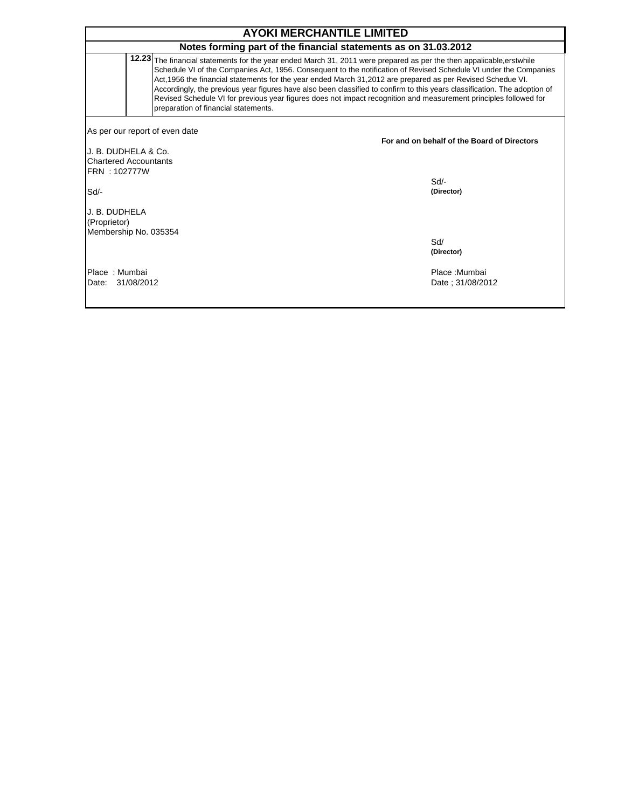|                                                                                        | <b>AYOKI MERCHANTILE LIMITED</b>                                                                                                                                                                                                                                                                                                                                                                                                                                                                                                                                                                                                               |                                             |
|----------------------------------------------------------------------------------------|------------------------------------------------------------------------------------------------------------------------------------------------------------------------------------------------------------------------------------------------------------------------------------------------------------------------------------------------------------------------------------------------------------------------------------------------------------------------------------------------------------------------------------------------------------------------------------------------------------------------------------------------|---------------------------------------------|
|                                                                                        | Notes forming part of the financial statements as on 31.03.2012                                                                                                                                                                                                                                                                                                                                                                                                                                                                                                                                                                                |                                             |
| 12.23                                                                                  | The financial statements for the year ended March 31, 2011 were prepared as per the then appalicable, erstwhile<br>Schedule VI of the Companies Act, 1956. Consequent to the notification of Revised Schedule VI under the Companies<br>Act, 1956 the financial statements for the year ended March 31, 2012 are prepared as per Revised Schedue VI.<br>Accordingly, the previous year figures have also been classified to confirm to this years classification. The adoption of<br>Revised Schedule VI for previous year figures does not impact recognition and measurement principles followed for<br>preparation of financial statements. |                                             |
| As per our report of even date<br>IJ. B. DUDHELA & Co.<br><b>Chartered Accountants</b> |                                                                                                                                                                                                                                                                                                                                                                                                                                                                                                                                                                                                                                                | For and on behalf of the Board of Directors |
| FRN: 102777W<br>Sd/-                                                                   | Sd                                                                                                                                                                                                                                                                                                                                                                                                                                                                                                                                                                                                                                             | (Director)                                  |
| IJ. B. DUDHELA<br>(Proprietor)<br>Membership No. 035354                                | Sd/                                                                                                                                                                                                                                                                                                                                                                                                                                                                                                                                                                                                                                            | (Director)                                  |
| Place: Mumbai<br>31/08/2012<br>Date:                                                   |                                                                                                                                                                                                                                                                                                                                                                                                                                                                                                                                                                                                                                                | Place: Mumbai<br>Date ; 31/08/2012          |